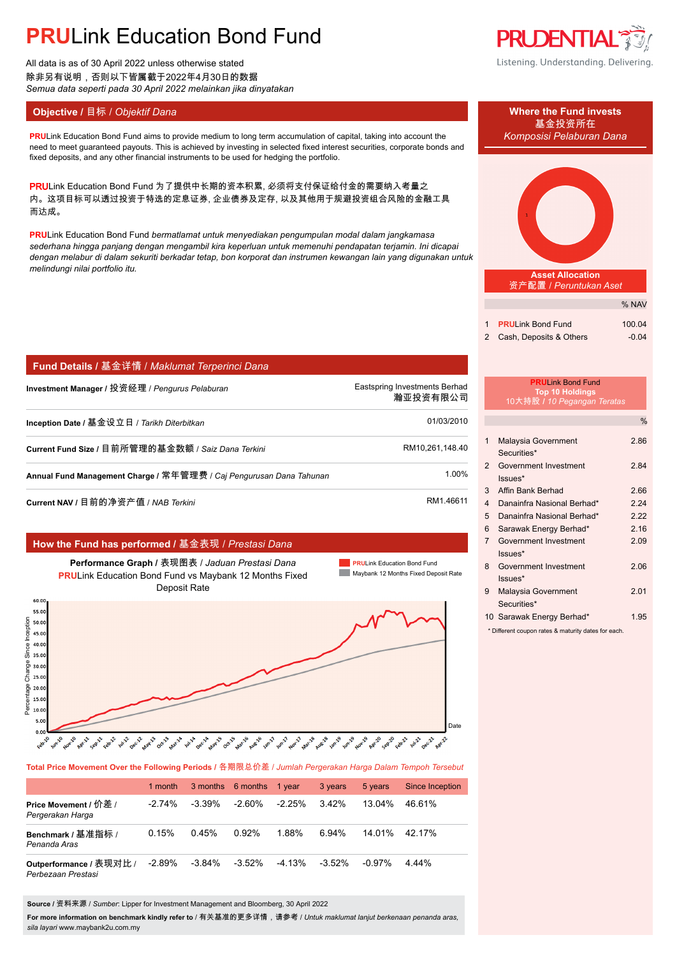# **PRU**Link Education Bond Fund

All data is as of 30 April 2022 unless otherwise stated 除非另有说明,否则以下皆属截于2022年4月30日的数据 *Semua data seperti pada 30 April 2022 melainkan jika dinyatakan*

### **Objective / 目标 /** *Objektif Dana* **Where the Fund invests</u>**

**PRU**Link Education Bond Fund aims to provide medium to long term accumulation of capital, taking into account the *Komposisi Pelaburan Dana* need to meet guaranteed payouts. This is achieved by investing in selected fixed interest securities, corporate bonds and fixed deposits, and any other financial instruments to be used for hedging the portfolio.

PRULink Education Bond Fund 为了提供中长期的资本积累, 必须将支付保证给付金的需要纳入考量之 内。这项目标可以透过投资于特选的定息证券, 企业债券及定存, 以及其他用于规避投资组合风险的金融工具 而达成。

**PRU**Link Education Bond Fund *bermatlamat untuk menyediakan pengumpulan modal dalam jangkamasa sederhana hingga panjang dengan mengambil kira keperluan untuk memenuhi pendapatan terjamin. Ini dicapai dengan melabur di dalam sekuriti berkadar tetap, bon korporat dan instrumen kewangan lain yang digunakan untuk melindungi nilai portfolio itu.*

| Fund Details / 基金详情 / Maklumat Terperinci Dana |  |  |  |  |
|------------------------------------------------|--|--|--|--|
|------------------------------------------------|--|--|--|--|

| Investment Manager / 投资经理 / Pengurus Pelaburan                      | Eastspring Investments Berhad<br>瀚亚投资有限公司 |
|---------------------------------------------------------------------|-------------------------------------------|
| Inception Date / 基金设立日 / Tarikh Diterbitkan                         | 01/03/2010                                |
| Current Fund Size / 目前所管理的基金数额 / Saiz Dana Terkini                  | RM10,261,148.40                           |
| Annual Fund Management Charge / 常年管理费 / Caj Pengurusan Dana Tahunan | 1.00%                                     |
|                                                                     |                                           |

**Current NAV / 目前的净资产值 /** *NAB Terkini* **RM1.46611**.

### **How the Fund has performed /** 基金表现 / *Prestasi Dana*

**Performance Graph /** 表现图表 / *Jaduan Prestasi Dana* **PRU**Link Education Bond Fund vs Maybank 12 Months Fixed Deposit Rate





**Total Price Movement Over the Following Periods /** 各期限总价差 / *Jumlah Pergerakan Harga Dalam Tempoh Tersebut*

|                                               | 1 month   |           | 3 months 6 months | 1 year   | 3 years   | 5 years   | <b>Since Inception</b> |
|-----------------------------------------------|-----------|-----------|-------------------|----------|-----------|-----------|------------------------|
| Price Movement / 价差 /<br>Pergerakan Harga     | $-2.74\%$ | $-3.39\%$ | $-2.60\%$         | $-2.25%$ | $3.42\%$  | 13.04%    | 46.61%                 |
| Benchmark / 基准指标 /<br>Penanda Aras            | 0.15%     | 0.45%     | 0.92%             | 1.88%    | 6.94%     | 14.01%    | 42.17%                 |
| Outperformance / 表现对比 /<br>Perbezaan Prestasi | $-2.89%$  | $-3.84\%$ | $-3.52\%$         | $-4.13%$ | $-3.52\%$ | $-0.97\%$ | 444%                   |

**Source /** 资料来源 / *Sumber*: Lipper for Investment Management and Bloomberg, 30 April 2022

**For more information on benchmark kindly refer to** / 有关基准的更多详情,请参考 / *Untuk maklumat lanjut berkenaan penanda aras, sila layari* www.maybank2u.com.my



Listening. Understanding. Delivering.



资产配置 / *Peruntukan Aset*

|                           | $\sqrt{9}$ $\sqrt{2}$ |
|---------------------------|-----------------------|
|                           |                       |
| 1 PRULink Bond Fund       | 100.04                |
| 2 Cash, Deposits & Others | $-0.04$               |

 $\alpha$  NAV

#### **PRU**Link Bond Fund **Top 10 Holdings** 10大持股 **/** *10 Pegangan Teratas*

|                |                                                    | $\frac{0}{6}$ |
|----------------|----------------------------------------------------|---------------|
| 1              | Malaysia Government                                | 2.86          |
|                | Securities*                                        |               |
| $\overline{2}$ | Government Investment                              | 2.84          |
|                | Issues*                                            |               |
| 3              | Affin Bank Berhad                                  | 2.66          |
| 4              | Danainfra Nasional Berhad*                         | 2.24          |
| 5              | Danainfra Nasional Berhad*                         | 2.22          |
| 6              | Sarawak Energy Berhad*                             | 2.16          |
| $\overline{7}$ | Government Investment                              | 2.09          |
|                | $lssues*$                                          |               |
| 8              | Government Investment                              | 2.06          |
|                | Issues*                                            |               |
| 9              | Malaysia Government                                | 2.01          |
|                | Securities*                                        |               |
|                | 10 Sarawak Energy Berhad*                          | 1.95          |
|                | * Different coupon rates 8 moturity dates for each |               |

\* Different coupon rates & maturity dates for each.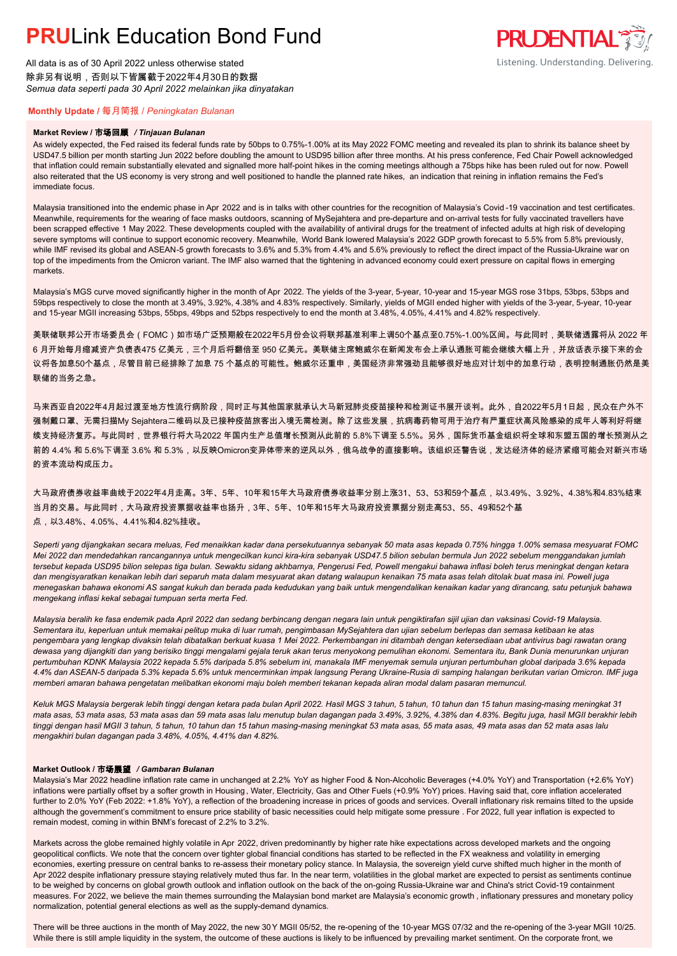## **PRUL** ink Education Bond Fund

All data is as of 30 April 2022 unless otherwise stated 除非另有说明,否则以下皆属截于2022年4月30日的数据 *Semua data seperti pada 30 April 2022 melainkan jika dinyatakan*

## **PRUDENTIAL** Listening. Understanding. Delivering.

### **Monthly Update /** 每月简报 / *Peningkatan Bulanan*

#### **Market Review /** 市场回顾 */ Tinjauan Bulanan*

As widely expected, the Fed raised its federal funds rate by 50bps to 0.75%-1.00% at its May 2022 FOMC meeting and revealed its plan to shrink its balance sheet by USD47.5 billion per month starting Jun 2022 before doubling the amount to USD95 billion after three months. At his press conference, Fed Chair Powell acknowledged that inflation could remain substantially elevated and signalled more half-point hikes in the coming meetings although a 75bps hike has been ruled out for now. Powell also reiterated that the US economy is very strong and well positioned to handle the planned rate hikes, an indication that reining in inflation remains the Fed's immediate focus.

Malaysia transitioned into the endemic phase in Apr 2022 and is in talks with other countries for the recognition of Malaysia's Covid-19 vaccination and test certificates. Meanwhile, requirements for the wearing of face masks outdoors, scanning of MySejahtera and pre-departure and on-arrival tests for fully vaccinated travellers have been scrapped effective 1 May 2022. These developments coupled with the availability of antiviral drugs for the treatment of infected adults at high risk of developing severe symptoms will continue to support economic recovery. Meanwhile, World Bank lowered Malaysia's 2022 GDP growth forecast to 5.5% from 5.8% previously, while IMF revised its global and ASEAN-5 growth forecasts to 3.6% and 5.3% from 4.4% and 5.6% previously to reflect the direct impact of the Russia-Ukraine war on top of the impediments from the Omicron variant. The IMF also warned that the tightening in advanced economy could exert pressure on capital flows in emerging markets.

Malaysia's MGS curve moved significantly higher in the month of Apr 2022. The yields of the 3-year, 5-year, 10-year and 15-year MGS rose 31bps, 53bps, 53bps and 59bps respectively to close the month at 3.49%, 3.92%, 4.38% and 4.83% respectively. Similarly, yields of MGII ended higher with yields of the 3-year, 5-year, 10-year and 15-year MGII increasing 53bps, 55bps, 49bps and 52bps respectively to end the month at 3.48%, 4.05%, 4.41% and 4.82% respectively.

美联储联邦公开市场委员会(FOMC)如市场广泛预期般在2022年5月份会议将联邦基准利率上调50个基点至0.75%-1.00%区间。与此同时,美联储透露将从 2022 年 6 月开始每月缩减资产负债表475 亿美元,三个月后将翻倍至 950 亿美元。美联储主席鲍威尔在新闻发布会上承认通胀可能会继续大幅上升,并放话表示接下来的会 议将各加息50个基点,尽管目前已经排除了加息 75 个基点的可能性。鲍威尔还重申,美国经济非常强劲且能够很好地应对计划中的加息行动,表明控制通胀仍然是美 联储的当务之急。

马来西亚自2022年4月起过渡至地方性流行病阶段,同时正与其他国家就承认大马新冠肺炎疫苗接种和检测证书展开谈判。此外,自2022年5月1日起,民众在户外不 强制戴口罩、无需扫描My Sejahtera二维码以及已接种疫苗旅客出入境无需检测。除了这些发展,抗病毒药物可用于治疗有严重症状高风险感染的成年人等利好将继 续支持经济复苏。与此同时,世界银行将大马2022 年国内生产总值增长预测从此前的 5.8%下调至 5.5%。另外,国际货币基金组织将全球和东盟五国的增长预测从之 前的 4.4% 和 5.6%下调至 3.6% 和 5.3%,以反映Omicron变异体带来的逆风以外,俄乌战争的直接影响。该组织还警告说,发达经济体的经济紧缩可能会对新兴市场 的资本流动构成压力。

大马政府债券收益率曲线于2022年4月走高。3年、5年、10年和15年大马政府债券收益率分别上涨31、53、53和59个基点,以3.49%、3.92%、4.38%和4.83%结束 当月的交易。与此同时,大马政府投资票据收益率也扬升,3年、5年、10年和15年大马政府投资票据分别走高53、55、49和52个基 点,以3.48%、4.05%、4.41%和4.82%挂收。

*Seperti yang dijangkakan secara meluas, Fed menaikkan kadar dana persekutuannya sebanyak 50 mata asas kepada 0.75% hingga 1.00% semasa mesyuarat FOMC Mei 2022 dan mendedahkan rancangannya untuk mengecilkan kunci kira-kira sebanyak USD47.5 bilion sebulan bermula Jun 2022 sebelum menggandakan jumlah tersebut kepada USD95 bilion selepas tiga bulan. Sewaktu sidang akhbarnya, Pengerusi Fed, Powell mengakui bahawa inflasi boleh terus meningkat dengan ketara dan mengisyaratkan kenaikan lebih dari separuh mata dalam mesyuarat akan datang walaupun kenaikan 75 mata asas telah ditolak buat masa ini. Powell juga menegaskan bahawa ekonomi AS sangat kukuh dan berada pada kedudukan yang baik untuk mengendalikan kenaikan kadar yang dirancang, satu petunjuk bahawa mengekang inflasi kekal sebagai tumpuan serta merta Fed.*

*Malaysia beralih ke fasa endemik pada April 2022 dan sedang berbincang dengan negara lain untuk pengiktirafan sijil ujian dan vaksinasi Covid-19 Malaysia. Sementara itu, keperluan untuk memakai pelitup muka di luar rumah, pengimbasan MySejahtera dan ujian sebelum berlepas dan semasa ketibaan ke atas pengembara yang lengkap divaksin telah dibatalkan berkuat kuasa 1 Mei 2022. Perkembangan ini ditambah dengan ketersediaan ubat antivirus bagi rawatan orang dewasa yang dijangkiti dan yang berisiko tinggi mengalami gejala teruk akan terus menyokong pemulihan ekonomi. Sementara itu, Bank Dunia menurunkan unjuran pertumbuhan KDNK Malaysia 2022 kepada 5.5% daripada 5.8% sebelum ini, manakala IMF menyemak semula unjuran pertumbuhan global daripada 3.6% kepada 4.4% dan ASEAN-5 daripada 5.3% kepada 5.6% untuk mencerminkan impak langsung Perang Ukraine-Rusia di samping halangan berikutan varian Omicron. IMF juga memberi amaran bahawa pengetatan melibatkan ekonomi maju boleh memberi tekanan kepada aliran modal dalam pasaran memuncul.*

*Keluk MGS Malaysia bergerak lebih tinggi dengan ketara pada bulan April 2022. Hasil MGS 3 tahun, 5 tahun, 10 tahun dan 15 tahun masing-masing meningkat 31 mata asas, 53 mata asas, 53 mata asas dan 59 mata asas lalu menutup bulan dagangan pada 3.49%, 3.92%, 4.38% dan 4.83%. Begitu juga, hasil MGII berakhir lebih tinggi dengan hasil MGII 3 tahun, 5 tahun, 10 tahun dan 15 tahun masing-masing meningkat 53 mata asas, 55 mata asas, 49 mata asas dan 52 mata asas lalu mengakhiri bulan dagangan pada 3.48%, 4.05%, 4.41% dan 4.82%.*

### **Market Outlook /** 市场展望 */ Gambaran Bulanan*

Malaysia's Mar 2022 headline inflation rate came in unchanged at 2.2% YoY as higher Food & Non-Alcoholic Beverages (+4.0% YoY) and Transportation (+2.6% YoY) inflations were partially offset by a softer growth in Housing , Water, Electricity, Gas and Other Fuels (+0.9% YoY) prices. Having said that, core inflation accelerated further to 2.0% YoY (Feb 2022: +1.8% YoY), a reflection of the broadening increase in prices of goods and services. Overall inflationary risk remains tilted to the upside although the government's commitment to ensure price stability of basic necessities could help mitigate some pressure . For 2022, full year inflation is expected to remain modest, coming in within BNM's forecast of 2.2% to 3.2%.

Markets across the globe remained highly volatile in Apr 2022, driven predominantly by higher rate hike expectations across developed markets and the ongoing geopolitical conflicts. We note that the concern over tighter global financial conditions has started to be reflected in the FX weakness and volatility in emerging economies, exerting pressure on central banks to re-assess their monetary policy stance. In Malaysia, the sovereign yield curve shifted much higher in the month of Apr 2022 despite inflationary pressure staying relatively muted thus far. In the near term, volatilities in the global market are expected to persist as sentiments continue to be weighed by concerns on global growth outlook and inflation outlook on the back of the on-going Russia-Ukraine war and China's strict Covid-19 containment measures. For 2022, we believe the main themes surrounding the Malaysian bond market are Malaysia's economic growth , inflationary pressures and monetary policy normalization, potential general elections as well as the supply-demand dynamics.

There will be three auctions in the month of May 2022, the new 30 Y MGII 05/52, the re-opening of the 10-year MGS 07/32 and the re-opening of the 3-year MGII 10/25. While there is still ample liquidity in the system, the outcome of these auctions is likely to be influenced by prevailing market sentiment. On the corporate front, we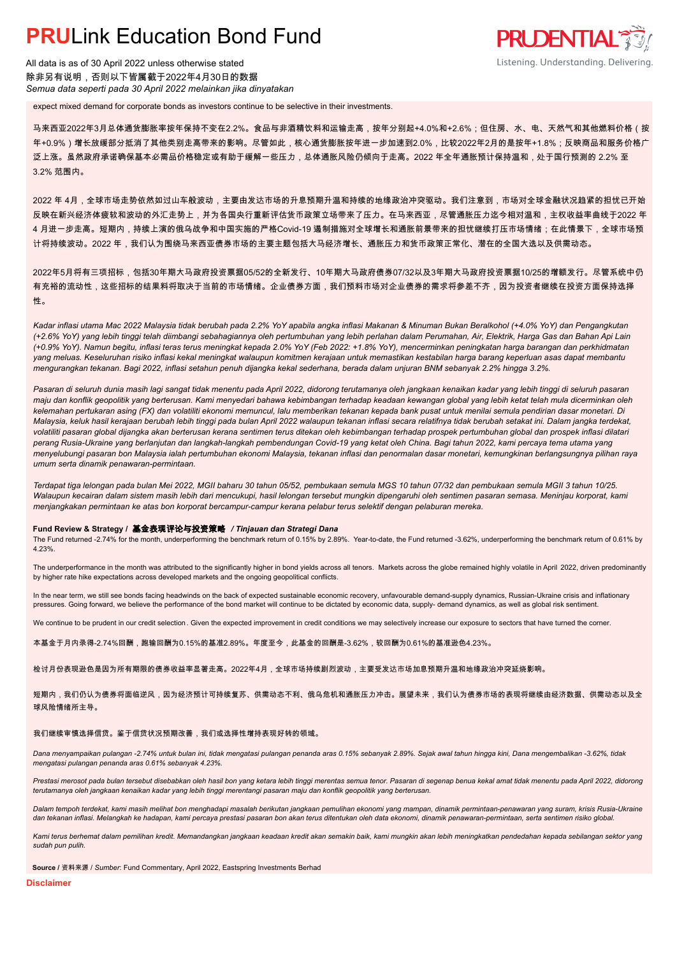## **PRULink Education Bond Fund**

All data is as of 30 April 2022 unless otherwise stated 除非另有说明,否则以下皆属截于2022年4月30日的数据 *Semua data seperti pada 30 April 2022 melainkan jika dinyatakan*

expect mixed demand for corporate bonds as investors continue to be selective in their investments.

马来西亚2022年3月总体通货膨胀率按年保持不变在2.2%。食品与非酒精饮料和运输走高,按年分别起+4.0%和+2.6%;但住房、水、电、天然气和其他燃料价格(按 年+0.9%)增长放缓部分抵消了其他类别走高带来的影响。尽管如此,核心通货膨胀按年进一步加速到2.0%,比较2022年2月的是按年+1.8%;反映商品和服务价格广 泛上涨。虽然政府承诺确保基本必需品价格稳定或有助于缓解一些压力,总体通胀风险仍倾向于走高。2022 年全年通胀预计保持温和,处于国行预测的 2.2% 至 3.2% 范围内。

**PRUDENTIAL** 

Listening. Understanding. Delivering.

2022 年 4月,全球市场走势依然如过山车般波动,主要由发达市场的升息预期升温和持续的地缘政治冲突驱动。我们注意到,市场对全球金融状况趋紧的担忧已开始 反映在新兴经济体疲软和波动的外汇走势上,并为各国央行重新评估货币政策立场带来了压力。在马来西亚,尽管通胀压力迄今相对温和,主权收益率曲线于2022 年 4 月进一步走高。短期内,持续上演的俄乌战争和中国实施的严格Covid-19 遏制措施对全球增长和通胀前景带来的担忧继续打压市场情绪;在此情景下,全球市场预 计将持续波动。2022 年,我们认为围绕马来西亚债券市场的主要主题包括大马经济增长、通胀压力和货币政策正常化、潜在的全国大选以及供需动态。

2022年5月将有三项招标,包括30年期大马政府投资票据05/52的全新发行、10年期大马政府债券07/32以及3年期大马政府投资票据10/25的增额发行。尽管系统中仍 有充裕的流动性,这些招标的结果料将取决于当前的市场情绪。企业债券方面,我们预料市场对企业债券的需求将参差不齐,因为投资者继续在投资方面保持选择 性。

*Kadar inflasi utama Mac 2022 Malaysia tidak berubah pada 2.2% YoY apabila angka inflasi Makanan & Minuman Bukan Beralkohol (+4.0% YoY) dan Pengangkutan (+2.6% YoY) yang lebih tinggi telah diimbangi sebahagiannya oleh pertumbuhan yang lebih perlahan dalam Perumahan, Air, Elektrik, Harga Gas dan Bahan Api Lain (+0.9% YoY). Namun begitu, inflasi teras terus meningkat kepada 2.0% YoY (Feb 2022: +1.8% YoY), mencerminkan peningkatan harga barangan dan perkhidmatan yang meluas. Keseluruhan risiko inflasi kekal meningkat walaupun komitmen kerajaan untuk memastikan kestabilan harga barang keperluan asas dapat membantu mengurangkan tekanan. Bagi 2022, inflasi setahun penuh dijangka kekal sederhana, berada dalam unjuran BNM sebanyak 2.2% hingga 3.2%.*

*Pasaran di seluruh dunia masih lagi sangat tidak menentu pada April 2022, didorong terutamanya oleh jangkaan kenaikan kadar yang lebih tinggi di seluruh pasaran maju dan konflik geopolitik yang berterusan. Kami menyedari bahawa kebimbangan terhadap keadaan kewangan global yang lebih ketat telah mula dicerminkan oleh kelemahan pertukaran asing (FX) dan volatiliti ekonomi memuncul, lalu memberikan tekanan kepada bank pusat untuk menilai semula pendirian dasar monetari. Di Malaysia, keluk hasil kerajaan berubah lebih tinggi pada bulan April 2022 walaupun tekanan inflasi secara relatifnya tidak berubah setakat ini. Dalam jangka terdekat, volatiliti pasaran global dijangka akan berterusan kerana sentimen terus ditekan oleh kebimbangan terhadap prospek pertumbuhan global dan prospek inflasi dilatari perang Rusia-Ukraine yang berlanjutan dan langkah-langkah pembendungan Covid-19 yang ketat oleh China. Bagi tahun 2022, kami percaya tema utama yang menyelubungi pasaran bon Malaysia ialah pertumbuhan ekonomi Malaysia, tekanan inflasi dan penormalan dasar monetari, kemungkinan berlangsungnya pilihan raya umum serta dinamik penawaran-permintaan.*

*Terdapat tiga lelongan pada bulan Mei 2022, MGII baharu 30 tahun 05/52, pembukaan semula MGS 10 tahun 07/32 dan pembukaan semula MGII 3 tahun 10/25. Walaupun kecairan dalam sistem masih lebih dari mencukupi, hasil lelongan tersebut mungkin dipengaruhi oleh sentimen pasaran semasa. Meninjau korporat, kami menjangkakan permintaan ke atas bon korporat bercampur-campur kerana pelabur terus selektif dengan pelaburan mereka.*

#### **Fund Review & Strategy /** 基金表现评论与投资策略 */ Tinjauan dan Strategi Dana*

The Fund returned -2.74% for the month, underperforming the benchmark return of 0.15% by 2.89%. Year-to-date, the Fund returned -3.62%, underperforming the benchmark return of 0.61% by 4.23%.

The underperformance in the month was attributed to the significantly higher in bond yields across all tenors. Markets across the globe remained highly volatile in April 2022, driven predominantly by higher rate hike expectations across developed markets and the ongoing geopolitical conflicts.

In the near term, we still see bonds facing headwinds on the back of expected sustainable economic recovery, unfavourable demand-supply dynamics, Russian-Ukraine crisis and inflationary pressures. Going forward, we believe the performance of the bond market will continue to be dictated by economic data, supply- demand dynamics, as well as global risk sentiment.

We continue to be prudent in our credit selection. Given the expected improvement in credit conditions we may selectively increase our exposure to sectors that have turned the corner.

本基金于月内录得-2.74%回酬,跑输回酬为0.15%的基准2.89%。年度至今,此基金的回酬是-3.62%,较回酬为0.61%的基准逊色4.23%。

检讨月份表现逊色是因为所有期限的债券收益率显著走高。2022年4月,全球市场持续剧烈波动,主要受发达市场加息预期升温和地缘政治冲突延烧影响。

短期内,我们仍认为债券将面临逆风,因为经济预计可持续复苏、供需动态不利、俄乌危机和通胀压力冲击。展望未来,我们认为债券市场的表现将继续由经济数据、供需动态以及全 球风险情绪所主导。

#### 我们继续审慎选择信贷。鉴于信贷状况预期改善,我们或选择性增持表现好转的领域。

*Dana menyampaikan pulangan -2.74% untuk bulan ini, tidak mengatasi pulangan penanda aras 0.15% sebanyak 2.89%. Sejak awal tahun hingga kini, Dana mengembalikan -3.62%, tidak mengatasi pulangan penanda aras 0.61% sebanyak 4.23%.*

Prestasi merosot pada bulan tersebut disebabkan oleh hasil bon yang ketara lebih tinggi merentas semua tenor. Pasaran di segenap benua kekal amat tidak menentu pada April 2022, didorong *terutamanya oleh jangkaan kenaikan kadar yang lebih tinggi merentangi pasaran maju dan konflik geopolitik yang berterusan.*

*Dalam tempoh terdekat, kami masih melihat bon menghadapi masalah berikutan jangkaan pemulihan ekonomi yang mampan, dinamik permintaan-penawaran yang suram, krisis Rusia-Ukraine dan tekanan inflasi. Melangkah ke hadapan, kami percaya prestasi pasaran bon akan terus ditentukan oleh data ekonomi, dinamik penawaran-permintaan, serta sentimen risiko global.*

*Kami terus berhemat dalam pemilihan kredit. Memandangkan jangkaan keadaan kredit akan semakin baik, kami mungkin akan lebih meningkatkan pendedahan kepada sebilangan sektor yang sudah pun pulih.*

**Source /** 资料来源 / *Sumber*: Fund Commentary, April 2022, Eastspring Investments Berhad

**Disclaimer**